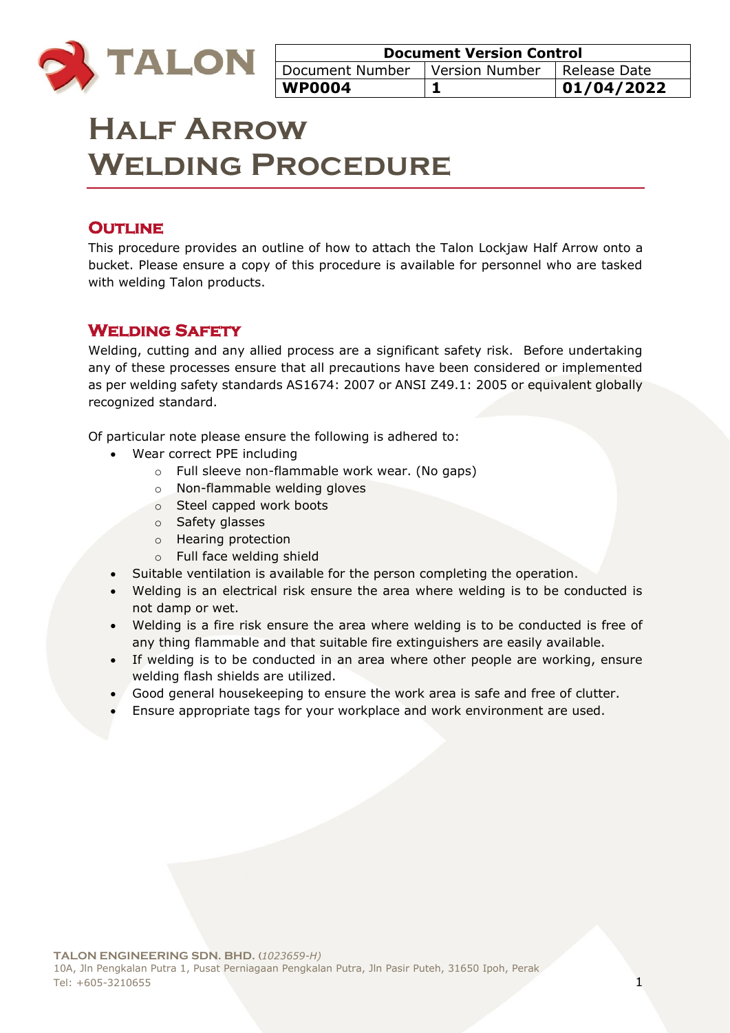

| <b>Document Version Control</b>                 |  |            |
|-------------------------------------------------|--|------------|
| Document Number   Version Number   Release Date |  |            |
| <b>WP0004</b>                                   |  | 01/04/2022 |

# **Half Arrow Welding Procedure**

# **OUTLINE**

This procedure provides an outline of how to attach the Talon Lockjaw Half Arrow onto a bucket. Please ensure a copy of this procedure is available for personnel who are tasked with welding Talon products.

# **Welding Safety**

Welding, cutting and any allied process are a significant safety risk. Before undertaking any of these processes ensure that all precautions have been considered or implemented as per welding safety standards AS1674: 2007 or ANSI Z49.1: 2005 or equivalent globally recognized standard.

Of particular note please ensure the following is adhered to:

- Wear correct PPE including
	- o Full sleeve non-flammable work wear. (No gaps)
	- o Non-flammable welding gloves
	- o Steel capped work boots
	- o Safety glasses
	- o Hearing protection
	- o Full face welding shield
- Suitable ventilation is available for the person completing the operation.
- Welding is an electrical risk ensure the area where welding is to be conducted is not damp or wet.
- Welding is a fire risk ensure the area where welding is to be conducted is free of any thing flammable and that suitable fire extinguishers are easily available.
- If welding is to be conducted in an area where other people are working, ensure welding flash shields are utilized.
- Good general housekeeping to ensure the work area is safe and free of clutter.
- Ensure appropriate tags for your workplace and work environment are used.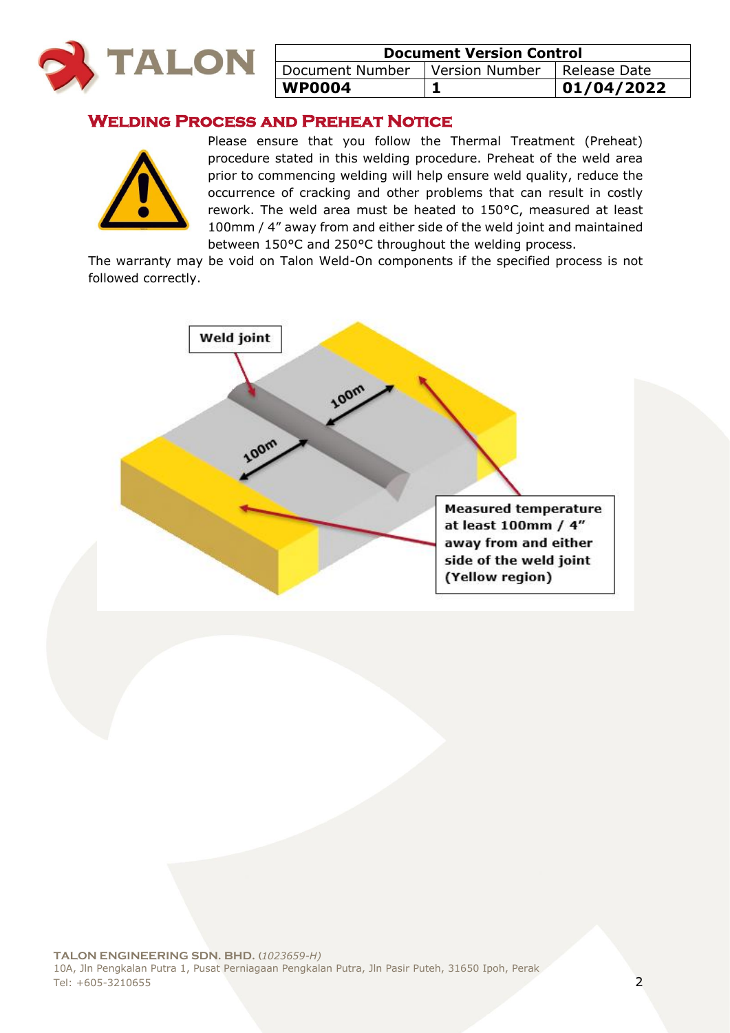

| <b>Document Version Control</b>                 |  |            |
|-------------------------------------------------|--|------------|
| Document Number   Version Number   Release Date |  |            |
| <b>WP0004</b>                                   |  | 01/04/2022 |

# **Welding Process and Preheat Notice**



Please ensure that you follow the Thermal Treatment (Preheat) procedure stated in this welding procedure. Preheat of the weld area prior to commencing welding will help ensure weld quality, reduce the occurrence of cracking and other problems that can result in costly rework. The weld area must be heated to 150°C, measured at least 100mm / 4" away from and either side of the weld joint and maintained between 150°C and 250°C throughout the welding process.

The warranty may be void on Talon Weld-On components if the specified process is not followed correctly.

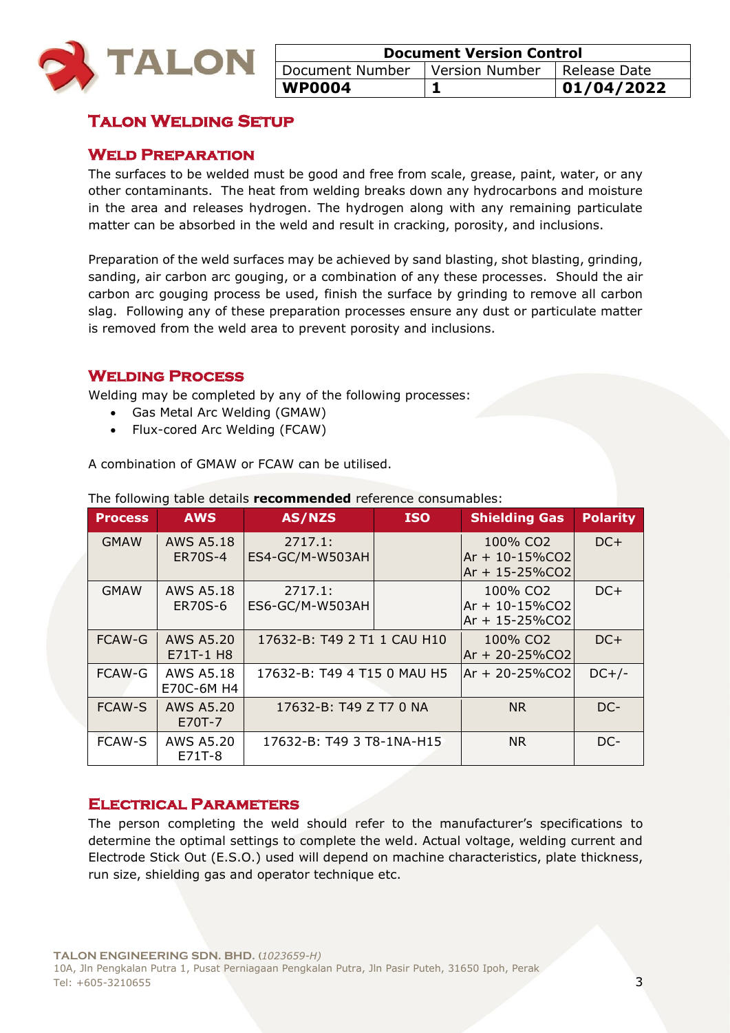

| <b>Document Version Control</b>                 |  |             |
|-------------------------------------------------|--|-------------|
| Document Number   Version Number   Release Date |  |             |
| <b>WP0004</b>                                   |  | 101/04/2022 |

# **Talon Welding Setup**

## **Weld Preparation**

The surfaces to be welded must be good and free from scale, grease, paint, water, or any other contaminants. The heat from welding breaks down any hydrocarbons and moisture in the area and releases hydrogen. The hydrogen along with any remaining particulate matter can be absorbed in the weld and result in cracking, porosity, and inclusions.

Preparation of the weld surfaces may be achieved by sand blasting, shot blasting, grinding, sanding, air carbon arc gouging, or a combination of any these processes. Should the air carbon arc gouging process be used, finish the surface by grinding to remove all carbon slag. Following any of these preparation processes ensure any dust or particulate matter is removed from the weld area to prevent porosity and inclusions.

## **Welding Process**

Welding may be completed by any of the following processes:

- Gas Metal Arc Welding (GMAW)
- Flux-cored Arc Welding (FCAW)

A combination of GMAW or FCAW can be utilised.

| <b>Process</b> | <b>AWS</b>                         | AS/NZS                      | <b>ISO</b> | <b>Shielding Gas</b>                                               | <b>Polarity</b> |
|----------------|------------------------------------|-----------------------------|------------|--------------------------------------------------------------------|-----------------|
| <b>GMAW</b>    | <b>AWS A5.18</b><br><b>ER70S-4</b> | 2717.1:<br>ES4-GC/M-W503AH  |            | 100% CO <sub>2</sub><br>$Ar + 10 - 15\%CO2$<br>Ar + 15-25%CO2      | $DC+$           |
| <b>GMAW</b>    | AWS A5.18<br>ER70S-6               | 2717.1:<br>ES6-GC/M-W503AH  |            | 100% CO <sub>2</sub><br>$Ar + 10 - 15\%CO2$<br>$Ar + 15 - 25\%CO2$ | $DC+$           |
| <b>FCAW-G</b>  | <b>AWS A5.20</b><br>E71T-1 H8      | 17632-B: T49 2 T1 1 CAU H10 |            | 100% CO <sub>2</sub><br>Ar + 20-25%CO2                             | $DC+$           |
| FCAW-G         | <b>AWS A5.18</b><br>E70C-6M H4     | 17632-B: T49 4 T15 0 MAU H5 |            | $Ar + 20 - 25\%CO2$                                                | $DC+/-$         |
| <b>FCAW-S</b>  | <b>AWS A5.20</b><br>E70T-7         | 17632-B: T49 Z T7 0 NA      |            | N <sub>R</sub>                                                     | DC-             |
| <b>FCAW-S</b>  | AWS A5.20<br>E71T-8                | 17632-B: T49 3 T8-1NA-H15   |            | NR.                                                                | DC-             |

The following table details **recommended** reference consumables:

#### **Electrical Parameters**

The person completing the weld should refer to the manufacturer's specifications to determine the optimal settings to complete the weld. Actual voltage, welding current and Electrode Stick Out (E.S.O.) used will depend on machine characteristics, plate thickness, run size, shielding gas and operator technique etc.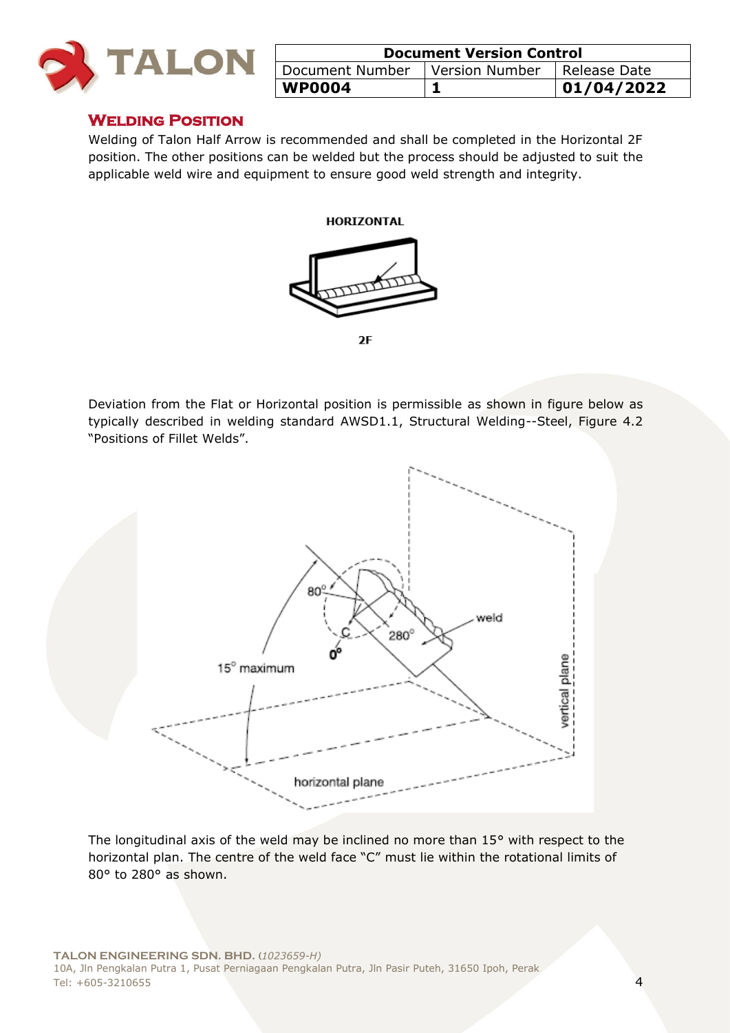

| <b>Document Version Control</b>  |  |                |
|----------------------------------|--|----------------|
| Document Number   Version Number |  | I Release Date |
| <b>WP0004</b>                    |  | 01/04/2022     |

#### **Welding Position**

Welding of Talon Half Arrow is recommended and shall be completed in the Horizontal 2F position. The other positions can be welded but the process should be adjusted to suit the applicable weld wire and equipment to ensure good weld strength and integrity.





 $2F$ 

Deviation from the Flat or Horizontal position is permissible as shown in figure below as typically described in welding standard AWSD1.1, Structural Welding--Steel, Figure 4.2 "Positions of Fillet Welds".



The longitudinal axis of the weld may be inclined no more than 15° with respect to the horizontal plan. The centre of the weld face "C" must lie within the rotational limits of 80° to 280° as shown.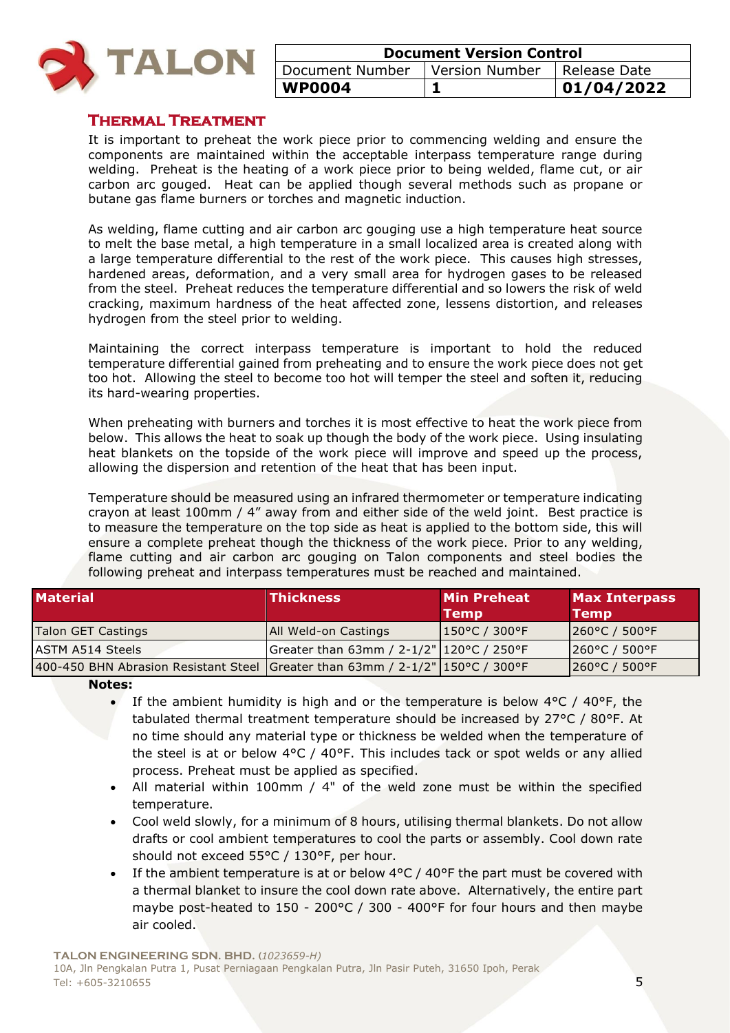

| <b>Document Version Control</b>                 |  |            |
|-------------------------------------------------|--|------------|
| Document Number   Version Number   Release Date |  |            |
| <b>WP0004</b>                                   |  | 01/04/2022 |

## **Thermal Treatment**

It is important to preheat the work piece prior to commencing welding and ensure the components are maintained within the acceptable interpass temperature range during welding. Preheat is the heating of a work piece prior to being welded, flame cut, or air carbon arc gouged. Heat can be applied though several methods such as propane or butane gas flame burners or torches and magnetic induction.

As welding, flame cutting and air carbon arc gouging use a high temperature heat source to melt the base metal, a high temperature in a small localized area is created along with a large temperature differential to the rest of the work piece. This causes high stresses, hardened areas, deformation, and a very small area for hydrogen gases to be released from the steel. Preheat reduces the temperature differential and so lowers the risk of weld cracking, maximum hardness of the heat affected zone, lessens distortion, and releases hydrogen from the steel prior to welding.

Maintaining the correct interpass temperature is important to hold the reduced temperature differential gained from preheating and to ensure the work piece does not get too hot. Allowing the steel to become too hot will temper the steel and soften it, reducing its hard-wearing properties.

When preheating with burners and torches it is most effective to heat the work piece from below. This allows the heat to soak up though the body of the work piece. Using insulating heat blankets on the topside of the work piece will improve and speed up the process, allowing the dispersion and retention of the heat that has been input.

Temperature should be measured using an infrared thermometer or temperature indicating crayon at least 100mm / 4" away from and either side of the weld joint. Best practice is to measure the temperature on the top side as heat is applied to the bottom side, this will ensure a complete preheat though the thickness of the work piece. Prior to any welding, flame cutting and air carbon arc gouging on Talon components and steel bodies the following preheat and interpass temperatures must be reached and maintained.

| <b>Material</b>                                                                  | <b>Thickness</b>                             | <b>Min Preheat</b><br>Temp | <b>Max Interpass</b><br><b>Temp</b> |
|----------------------------------------------------------------------------------|----------------------------------------------|----------------------------|-------------------------------------|
| Talon GET Castings                                                               | <b>All Weld-on Castings</b>                  | $ 150^{\circ}$ C / 300°F   | $ 260^{\circ}$ C / 500°F            |
| ASTM A514 Steels                                                                 | Greater than 63mm / 2-1/2"   120 °C / 250 °F |                            | $1260^{\circ}$ C / 500 $^{\circ}$ F |
| 400-450 BHN Abrasion Resistant Steel Greater than 63mm / $2-1/2$ " 150°C / 300°F |                                              |                            | 260°C / 500°F                       |

**Notes:** 

- If the ambient humidity is high and or the temperature is below  $4^{\circ}$ C /  $40^{\circ}$ F, the tabulated thermal treatment temperature should be increased by 27°C / 80°F. At no time should any material type or thickness be welded when the temperature of the steel is at or below  $4^{\circ}C$  /  $40^{\circ}F$ . This includes tack or spot welds or any allied process. Preheat must be applied as specified.
- All material within 100mm / 4" of the weld zone must be within the specified temperature.
- Cool weld slowly, for a minimum of 8 hours, utilising thermal blankets. Do not allow drafts or cool ambient temperatures to cool the parts or assembly. Cool down rate should not exceed 55°C / 130°F, per hour.
- If the ambient temperature is at or below 4°C / 40°F the part must be covered with a thermal blanket to insure the cool down rate above. Alternatively, the entire part maybe post-heated to 150 - 200°C / 300 - 400°F for four hours and then maybe air cooled.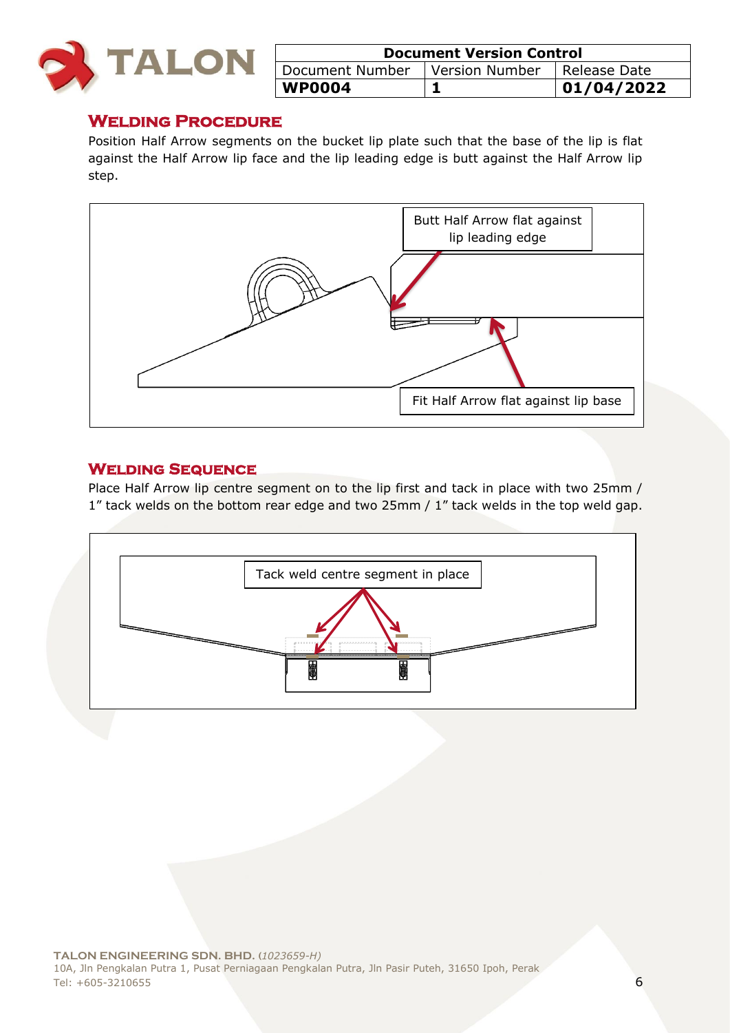

| <b>Document Version Control</b>  |  |                |
|----------------------------------|--|----------------|
| Document Number   Version Number |  | I Release Date |
| <b>WP0004</b>                    |  | 01/04/2022     |

# **Welding Procedure**

Position Half Arrow segments on the bucket lip plate such that the base of the lip is flat against the Half Arrow lip face and the lip leading edge is butt against the Half Arrow lip step.



## **Welding Sequence**

Place Half Arrow lip centre segment on to the lip first and tack in place with two 25mm / 1" tack welds on the bottom rear edge and two 25mm / 1" tack welds in the top weld gap.

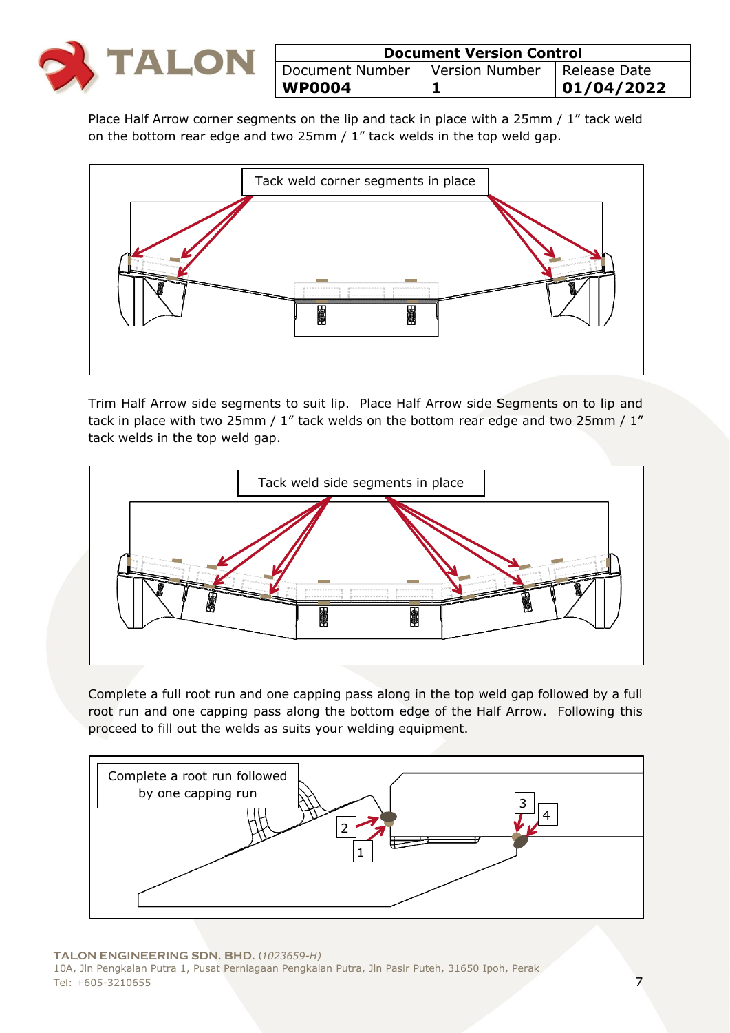

| <b>Document Version Control</b>                 |  |            |
|-------------------------------------------------|--|------------|
| Document Number   Version Number   Release Date |  |            |
| <b>WP0004</b>                                   |  | 01/04/2022 |

Place Half Arrow corner segments on the lip and tack in place with a 25mm / 1" tack weld on the bottom rear edge and two 25mm / 1" tack welds in the top weld gap.



Trim Half Arrow side segments to suit lip. Place Half Arrow side Segments on to lip and tack in place with two 25mm / 1" tack welds on the bottom rear edge and two 25mm / 1" tack welds in the top weld gap.



Complete a full root run and one capping pass along in the top weld gap followed by a full root run and one capping pass along the bottom edge of the Half Arrow. Following this proceed to fill out the welds as suits your welding equipment.

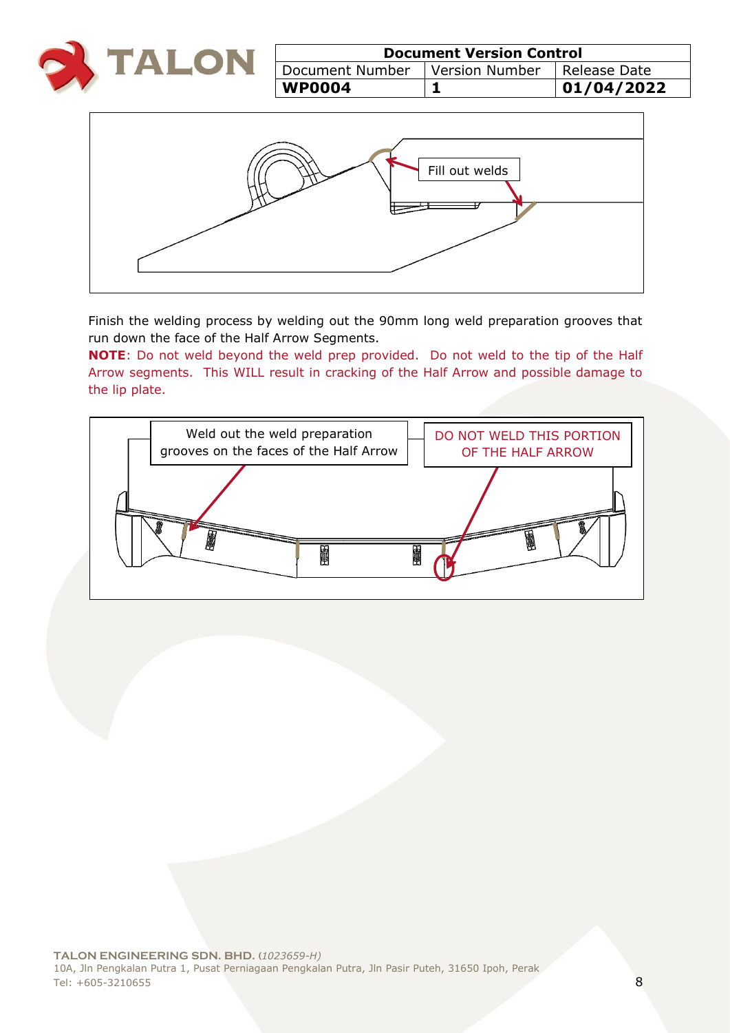

| <b>Document Version Control</b>                    |  |            |  |
|----------------------------------------------------|--|------------|--|
| Document Number   Version Number<br>  Release Date |  |            |  |
| <b>WP0004</b>                                      |  | 01/04/2022 |  |



Finish the welding process by welding out the 90mm long weld preparation grooves that run down the face of the Half Arrow Segments.

**NOTE**: Do not weld beyond the weld prep provided. Do not weld to the tip of the Half Arrow segments. This WILL result in cracking of the Half Arrow and possible damage to the lip plate.